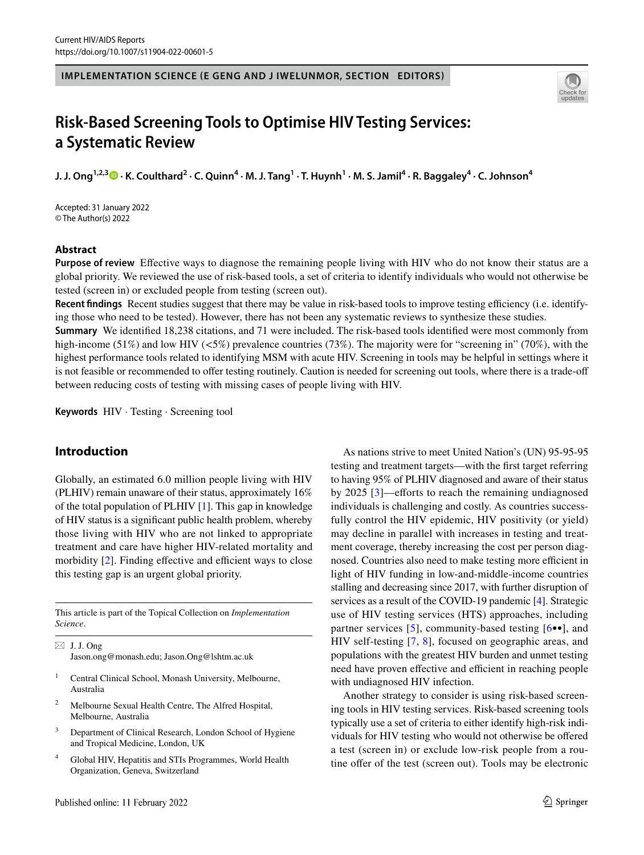**IMPLEMENTATION SCIENCE (E GENG AND J IWELUNMOR, SECTION EDITORS)**



# **Risk-Based Screening Tools to Optimise HIV Testing Services: a Systematic Review**

**J. J. Ong1,2,3 · K. Coulthard2 · C. Quinn4 · M. J. Tang<sup>1</sup> · T. Huynh1 · M. S. Jamil4 · R. Baggaley4 · C. Johnson4**

Accepted: 31 January 2022 © The Author(s) 2022

# **Abstract**

**Purpose of review** Efective ways to diagnose the remaining people living with HIV who do not know their status are a global priority. We reviewed the use of risk-based tools, a set of criteria to identify individuals who would not otherwise be tested (screen in) or excluded people from testing (screen out).

**Recent findings** Recent studies suggest that there may be value in risk-based tools to improve testing efficiency (i.e. identifying those who need to be tested). However, there has not been any systematic reviews to synthesize these studies.

**Summary** We identifed 18,238 citations, and 71 were included. The risk-based tools identifed were most commonly from high-income (51%) and low HIV ( $5\%$ ) prevalence countries (73%). The majority were for "screening in" (70%), with the highest performance tools related to identifying MSM with acute HIV. Screening in tools may be helpful in settings where it is not feasible or recommended to offer testing routinely. Caution is needed for screening out tools, where there is a trade-off between reducing costs of testing with missing cases of people living with HIV.

**Keywords** HIV · Testing · Screening tool

# **Introduction**

Globally, an estimated 6.0 million people living with HIV (PLHIV) remain unaware of their status, approximately 16% of the total population of PLHIV [\[1](#page-8-0)]. This gap in knowledge of HIV status is a signifcant public health problem, whereby those living with HIV who are not linked to appropriate treatment and care have higher HIV-related mortality and morbidity  $[2]$  $[2]$ . Finding effective and efficient ways to close this testing gap is an urgent global priority.

This article is part of the Topical Collection on *Implementation Science*.

 $\boxtimes$  J. J. Ong Jason.ong@monash.edu; Jason.Ong@lshtm.ac.uk

- <sup>1</sup> Central Clinical School, Monash University, Melbourne, Australia
- <sup>2</sup> Melbourne Sexual Health Centre, The Alfred Hospital, Melbourne, Australia
- <sup>3</sup> Department of Clinical Research, London School of Hygiene and Tropical Medicine, London, UK
- <sup>4</sup> Global HIV, Hepatitis and STIs Programmes, World Health Organization, Geneva, Switzerland

As nations strive to meet United Nation's (UN) 95-95-95 testing and treatment targets—with the frst target referring to having 95% of PLHIV diagnosed and aware of their status by  $2025$  [\[3\]](#page-9-1)—efforts to reach the remaining undiagnosed individuals is challenging and costly. As countries successfully control the HIV epidemic, HIV positivity (or yield) may decline in parallel with increases in testing and treatment coverage, thereby increasing the cost per person diagnosed. Countries also need to make testing more efficient in light of HIV funding in low-and-middle-income countries stalling and decreasing since 2017, with further disruption of services as a result of the COVID-19 pandemic [\[4](#page-9-2)]. Strategic use of HIV testing services (HTS) approaches, including partner services [[5\]](#page-9-3), community-based testing [[6•](#page-9-4)•], and HIV self-testing [[7](#page-9-5), [8](#page-9-6)], focused on geographic areas, and populations with the greatest HIV burden and unmet testing need have proven effective and efficient in reaching people with undiagnosed HIV infection.

Another strategy to consider is using risk-based screening tools in HIV testing services. Risk-based screening tools typically use a set of criteria to either identify high-risk individuals for HIV testing who would not otherwise be ofered a test (screen in) or exclude low-risk people from a routine offer of the test (screen out). Tools may be electronic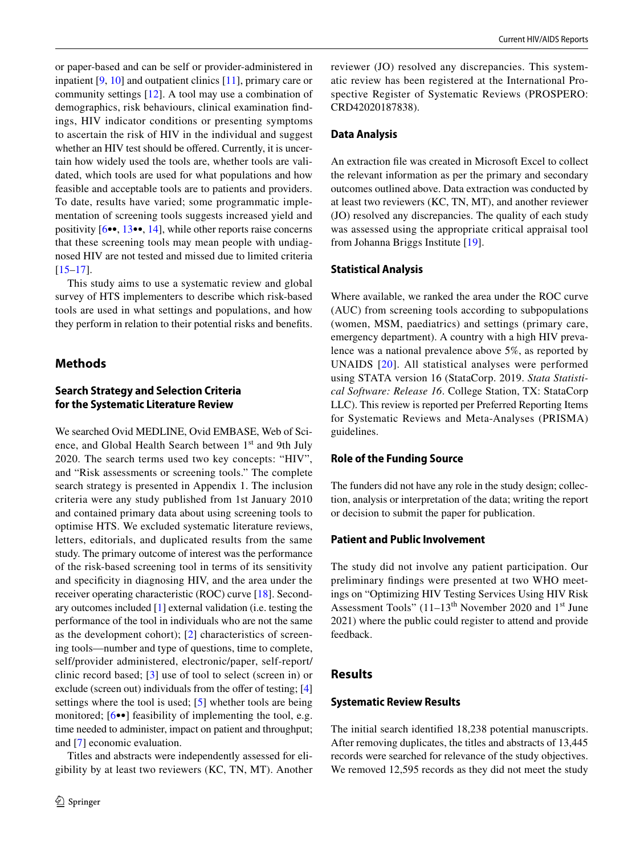or paper-based and can be self or provider-administered in inpatient [[9,](#page-9-7) [10\]](#page-9-8) and outpatient clinics [[11\]](#page-9-9), primary care or community settings [[12\]](#page-9-10). A tool may use a combination of demographics, risk behaviours, clinical examination fndings, HIV indicator conditions or presenting symptoms to ascertain the risk of HIV in the individual and suggest whether an HIV test should be offered. Currently, it is uncertain how widely used the tools are, whether tools are validated, which tools are used for what populations and how feasible and acceptable tools are to patients and providers. To date, results have varied; some programmatic implementation of screening tools suggests increased yield and positivity [\[6](#page-9-4)••, [13](#page-9-11)••, [14\]](#page-9-12), while other reports raise concerns that these screening tools may mean people with undiagnosed HIV are not tested and missed due to limited criteria [\[15–](#page-9-13)[17\]](#page-9-14).

This study aims to use a systematic review and global survey of HTS implementers to describe which risk-based tools are used in what settings and populations, and how they perform in relation to their potential risks and benefts.

# **Methods**

# **Search Strategy and Selection Criteria for the Systematic Literature Review**

We searched Ovid MEDLINE, Ovid EMBASE, Web of Science, and Global Health Search between 1<sup>st</sup> and 9th July 2020. The search terms used two key concepts: "HIV", and "Risk assessments or screening tools." The complete search strategy is presented in Appendix 1. The inclusion criteria were any study published from 1st January 2010 and contained primary data about using screening tools to optimise HTS. We excluded systematic literature reviews, letters, editorials, and duplicated results from the same study. The primary outcome of interest was the performance of the risk-based screening tool in terms of its sensitivity and specifcity in diagnosing HIV, and the area under the receiver operating characteristic (ROC) curve [\[18](#page-9-15)]. Secondary outcomes included [\[1](#page-8-0)] external validation (i.e. testing the performance of the tool in individuals who are not the same as the development cohort); [[2\]](#page-9-0) characteristics of screening tools—number and type of questions, time to complete, self/provider administered, electronic/paper, self-report/ clinic record based; [\[3\]](#page-9-1) use of tool to select (screen in) or exclude (screen out) individuals from the offer of testing; [\[4\]](#page-9-2) settings where the tool is used; [[5\]](#page-9-3) whether tools are being monitored;  $[6\bullet\bullet]$  $[6\bullet\bullet]$  feasibility of implementing the tool, e.g. time needed to administer, impact on patient and throughput; and [\[7](#page-9-5)] economic evaluation.

Titles and abstracts were independently assessed for eligibility by at least two reviewers (KC, TN, MT). Another reviewer (JO) resolved any discrepancies. This systematic review has been registered at the International Prospective Register of Systematic Reviews (PROSPERO: CRD42020187838).

## **Data Analysis**

An extraction fle was created in Microsoft Excel to collect the relevant information as per the primary and secondary outcomes outlined above. Data extraction was conducted by at least two reviewers (KC, TN, MT), and another reviewer (JO) resolved any discrepancies. The quality of each study was assessed using the appropriate critical appraisal tool from Johanna Briggs Institute [\[19](#page-9-16)].

#### **Statistical Analysis**

Where available, we ranked the area under the ROC curve (AUC) from screening tools according to subpopulations (women, MSM, paediatrics) and settings (primary care, emergency department). A country with a high HIV prevalence was a national prevalence above 5%, as reported by UNAIDS [[20\]](#page-9-17). All statistical analyses were performed using STATA version 16 (StataCorp. 2019. *Stata Statistical Software: Release 16*. College Station, TX: StataCorp LLC). This review is reported per Preferred Reporting Items for Systematic Reviews and Meta-Analyses (PRISMA) guidelines.

# **Role of the Funding Source**

The funders did not have any role in the study design; collection, analysis or interpretation of the data; writing the report or decision to submit the paper for publication.

#### **Patient and Public Involvement**

The study did not involve any patient participation. Our preliminary fndings were presented at two WHO meetings on "Optimizing HIV Testing Services Using HIV Risk Assessment Tools"  $(11-13<sup>th</sup>$  November 2020 and 1<sup>st</sup> June 2021) where the public could register to attend and provide feedback.

## **Results**

## **Systematic Review Results**

The initial search identifed 18,238 potential manuscripts. After removing duplicates, the titles and abstracts of 13,445 records were searched for relevance of the study objectives. We removed 12,595 records as they did not meet the study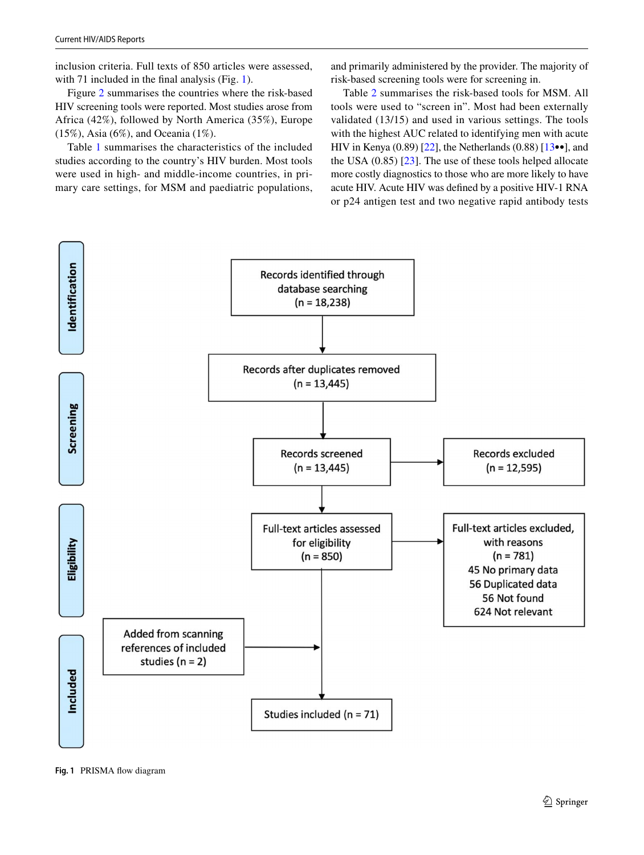Current HIV/AIDS Reports

inclusion criteria. Full texts of 850 articles were assessed, with 71 included in the final analysis (Fig. [1](#page-2-0)).

Figure [2](#page-3-0) summarises the countries where the risk-based HIV screening tools were reported. Most studies arose from Africa (42%), followed by North America (35%), Europe (15%), Asia (6%), and Oceania (1%).

Table [1](#page-4-0) summarises the characteristics of the included studies according to the country's HIV burden. Most tools were used in high- and middle-income countries, in primary care settings, for MSM and paediatric populations,

and primarily administered by the provider. The majority of risk-based screening tools were for screening in.

Table [2](#page-5-0) summarises the risk-based tools for MSM. All tools were used to "screen in". Most had been externally validated (13/15) and used in various settings. The tools with the highest AUC related to identifying men with acute HIV in Kenya  $(0.89)$  [\[22](#page-9-18)], the Netherlands  $(0.88)$  [\[13](#page-9-11)••], and the USA (0.85) [[23](#page-9-19)]. The use of these tools helped allocate more costly diagnostics to those who are more likely to have acute HIV. Acute HIV was defned by a positive HIV-1 RNA or p24 antigen test and two negative rapid antibody tests



<span id="page-2-0"></span>**Fig. 1** PRISMA fow diagram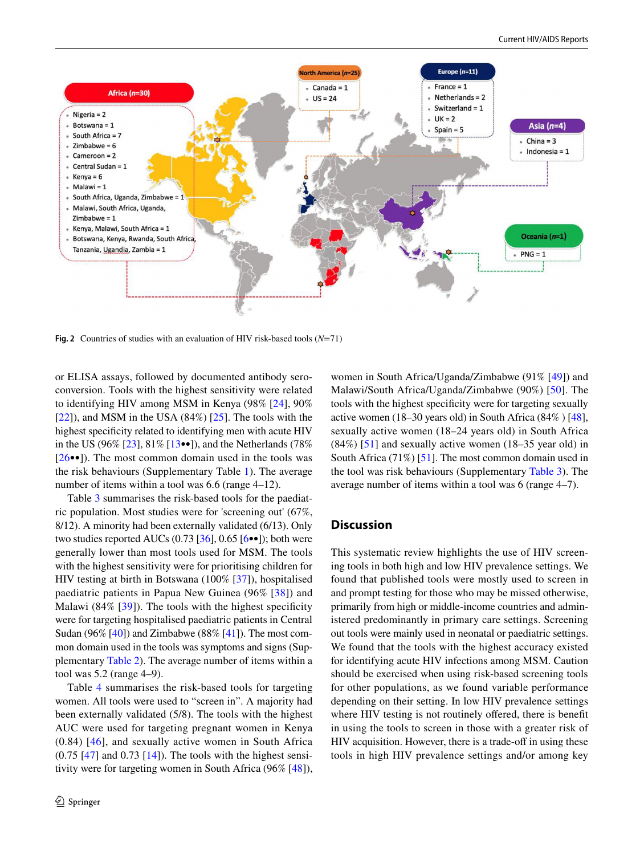

<span id="page-3-0"></span>**Fig. 2** Countries of studies with an evaluation of HIV risk-based tools (*N*=71)

or ELISA assays, followed by documented antibody seroconversion. Tools with the highest sensitivity were related to identifying HIV among MSM in Kenya (98% [[24\]](#page-9-20), 90%  $[22]$ ), and MSM in the USA  $(84\%)$   $[25]$  $[25]$ . The tools with the highest specifcity related to identifying men with acute HIV in the US (96% [[23](#page-9-19)], 81% [\[13](#page-9-11)••]), and the Netherlands (78%  $[26\bullet\bullet]$ ). The most common domain used in the tools was the risk behaviours (Supplementary Table 1). The average number of items within a tool was 6.6 (range 4–12).

Table [3](#page-6-0) summarises the risk-based tools for the paediatric population. Most studies were for 'screening out' (67%, 8/12). A minority had been externally validated (6/13). Only two studies reported AUCs  $(0.73 \, \lceil 36 \rceil, 0.65 \, \lceil 6 \bullet \bullet \rceil)$ ; both were generally lower than most tools used for MSM. The tools with the highest sensitivity were for prioritising children for HIV testing at birth in Botswana (100% [[37\]](#page-10-1)), hospitalised paediatric patients in Papua New Guinea (96% [[38](#page-10-2)]) and Malawi (84% [[39\]](#page-10-3)). The tools with the highest specificity were for targeting hospitalised paediatric patients in Central Sudan (96% [[40\]](#page-10-4)) and Zimbabwe (88% [[41\]](#page-10-5)). The most common domain used in the tools was symptoms and signs (Supplementary Table 2). The average number of items within a tool was 5.2 (range 4–9).

Table [4](#page-7-0) summarises the risk-based tools for targeting women. All tools were used to "screen in". A majority had been externally validated (5/8). The tools with the highest AUC were used for targeting pregnant women in Kenya (0.84) [[46\]](#page-10-6), and sexually active women in South Africa  $(0.75 \, [47]$  $(0.75 \, [47]$  $(0.75 \, [47]$  and  $(0.73 \, [14])$  $(0.73 \, [14])$  $(0.73 \, [14])$ . The tools with the highest sensitivity were for targeting women in South Africa (96% [\[48](#page-10-8)]),

women in South Africa/Uganda/Zimbabwe (91% [\[49](#page-10-9)]) and Malawi/South Africa/Uganda/Zimbabwe (90%) [\[50](#page-10-10)]. The tools with the highest specifcity were for targeting sexually active women (18–30 years old) in South Africa (84% ) [[48](#page-10-8)], sexually active women (18–24 years old) in South Africa  $(84\%)$  [[51\]](#page-10-11) and sexually active women (18–35 year old) in South Africa (71%) [\[51](#page-10-11)]. The most common domain used in the tool was risk behaviours (Supplementary Table 3). The average number of items within a tool was 6 (range 4–7).

# **Discussion**

This systematic review highlights the use of HIV screening tools in both high and low HIV prevalence settings. We found that published tools were mostly used to screen in and prompt testing for those who may be missed otherwise, primarily from high or middle-income countries and administered predominantly in primary care settings. Screening out tools were mainly used in neonatal or paediatric settings. We found that the tools with the highest accuracy existed for identifying acute HIV infections among MSM. Caution should be exercised when using risk-based screening tools for other populations, as we found variable performance depending on their setting. In low HIV prevalence settings where HIV testing is not routinely offered, there is benefit in using the tools to screen in those with a greater risk of HIV acquisition. However, there is a trade-off in using these tools in high HIV prevalence settings and/or among key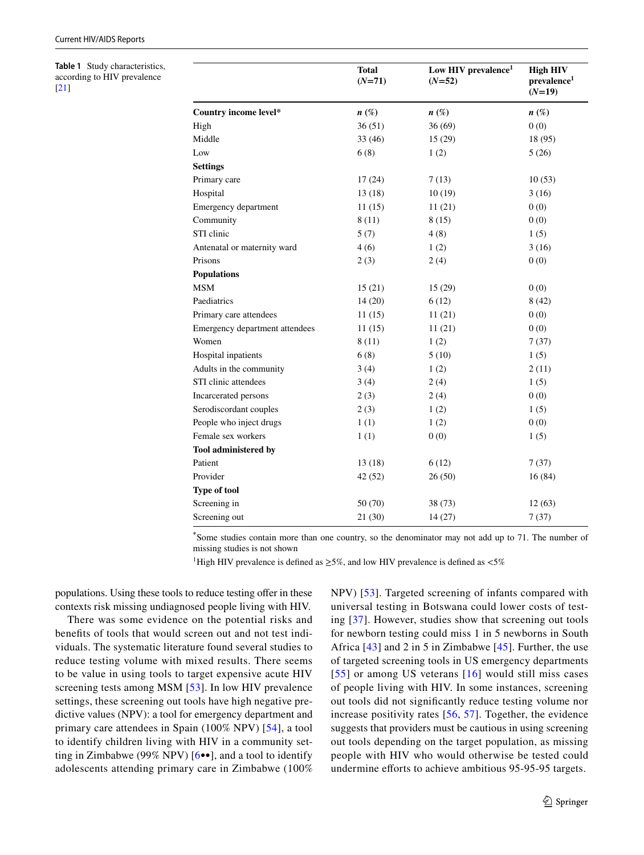<span id="page-4-0"></span>**Table 1** Study characteristics, according to HIV prevalence [[21](#page-9-24)]

|                                | <b>Total</b><br>$(N=71)$ | Low HIV prevalence <sup>1</sup><br>$(N=52)$ | <b>High HIV</b><br>prevalence <sup>1</sup><br>$(N=19)$ |
|--------------------------------|--------------------------|---------------------------------------------|--------------------------------------------------------|
| Country income level*          | $n\ (\%)$                | $n\left(\%\right)$                          | $n(\%)$                                                |
| High                           | 36(51)                   | 36 (69)                                     | 0(0)                                                   |
| Middle                         | 33(46)                   | 15(29)                                      | 18 (95)                                                |
| Low                            | 6(8)                     | 1(2)                                        | 5(26)                                                  |
| <b>Settings</b>                |                          |                                             |                                                        |
| Primary care                   | 17(24)                   | 7(13)                                       | 10(53)                                                 |
| Hospital                       | 13(18)                   | 10(19)                                      | 3(16)                                                  |
| Emergency department           | 11(15)                   | 11(21)                                      | 0(0)                                                   |
| Community                      | 8(11)                    | 8(15)                                       | 0(0)                                                   |
| STI clinic                     | 5(7)                     | 4(8)                                        | 1(5)                                                   |
| Antenatal or maternity ward    | 4(6)                     | 1(2)                                        | 3(16)                                                  |
| Prisons                        | 2(3)                     | 2(4)                                        | 0(0)                                                   |
| <b>Populations</b>             |                          |                                             |                                                        |
| <b>MSM</b>                     | 15(21)                   | 15(29)                                      | 0(0)                                                   |
| Paediatrics                    | 14(20)                   | 6(12)                                       | 8(42)                                                  |
| Primary care attendees         | 11(15)                   | 11(21)                                      | 0(0)                                                   |
| Emergency department attendees | 11(15)                   | 11(21)                                      | 0(0)                                                   |
| Women                          | 8(11)                    | 1(2)                                        | 7(37)                                                  |
| Hospital inpatients            | 6(8)                     | 5(10)                                       | 1(5)                                                   |
| Adults in the community        | 3(4)                     | 1(2)                                        | 2(11)                                                  |
| STI clinic attendees           | 3(4)                     | 2(4)                                        | 1(5)                                                   |
| Incarcerated persons           | 2(3)                     | 2(4)                                        | 0(0)                                                   |
| Serodiscordant couples         | 2(3)                     | 1(2)                                        | 1(5)                                                   |
| People who inject drugs        | 1(1)                     | 1(2)                                        | 0(0)                                                   |
| Female sex workers             | 1(1)                     | 0(0)                                        | 1(5)                                                   |
| Tool administered by           |                          |                                             |                                                        |
| Patient                        | 13(18)                   | 6(12)                                       | 7(37)                                                  |
| Provider                       | 42 (52)                  | 26(50)                                      | 16(84)                                                 |
| <b>Type of tool</b>            |                          |                                             |                                                        |
| Screening in                   | 50 (70)                  | 38 (73)                                     | 12(63)                                                 |
| Screening out                  | 21(30)                   | 14(27)                                      | 7(37)                                                  |

**\*** Some studies contain more than one country, so the denominator may not add up to 71. The number of missing studies is not shown

<sup>1</sup>High HIV prevalence is defined as  $\geq$ 5%, and low HIV prevalence is defined as <5%

populations. Using these tools to reduce testing offer in these contexts risk missing undiagnosed people living with HIV.

There was some evidence on the potential risks and benefts of tools that would screen out and not test individuals. The systematic literature found several studies to reduce testing volume with mixed results. There seems to be value in using tools to target expensive acute HIV screening tests among MSM [\[53\]](#page-10-12). In low HIV prevalence settings, these screening out tools have high negative predictive values (NPV): a tool for emergency department and primary care attendees in Spain (100% NPV) [\[54\]](#page-10-13), a tool to identify children living with HIV in a community setting in Zimbabwe (99% NPV)  $[6\bullet\bullet]$  $[6\bullet\bullet]$ , and a tool to identify adolescents attending primary care in Zimbabwe (100% NPV) [[53](#page-10-12)]. Targeted screening of infants compared with universal testing in Botswana could lower costs of testing [[37\]](#page-10-1). However, studies show that screening out tools for newborn testing could miss 1 in 5 newborns in South Africa [[43](#page-10-14)] and 2 in 5 in Zimbabwe [[45](#page-10-15)]. Further, the use of targeted screening tools in US emergency departments [[55](#page-10-16)] or among US veterans [\[16](#page-9-23)] would still miss cases of people living with HIV. In some instances, screening out tools did not signifcantly reduce testing volume nor increase positivity rates [[56](#page-10-17), [57](#page-10-18)]. Together, the evidence suggests that providers must be cautious in using screening out tools depending on the target population, as missing people with HIV who would otherwise be tested could undermine efforts to achieve ambitious 95-95-95 targets.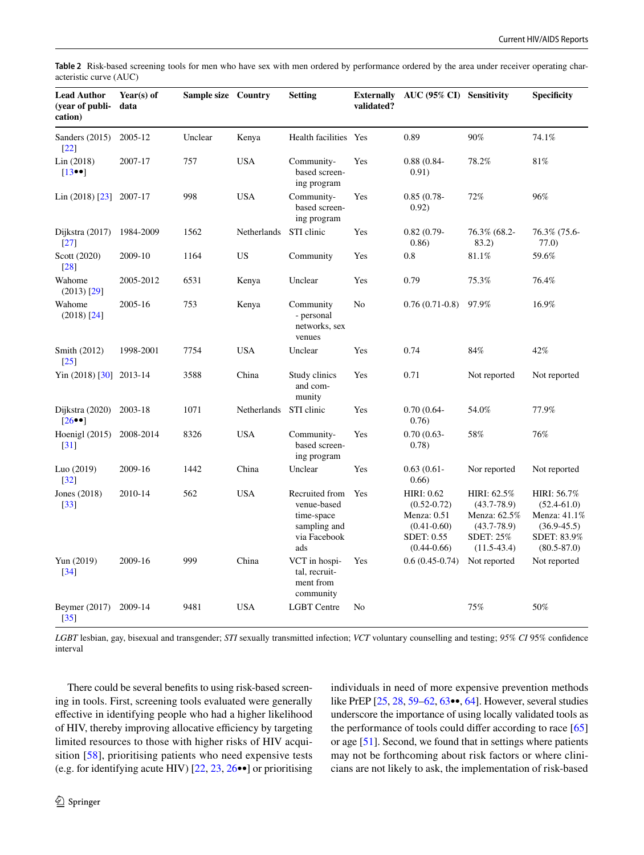<span id="page-5-0"></span>**Table 2** Risk-based screening tools for men who have sex with men ordered by performance ordered by the area under receiver operating characteristic curve (AUC)

| <b>Lead Author</b><br>(vear of publi-<br>cation) | Year $(s)$ of<br>data | <b>Sample size</b> Country |                        | <b>Setting</b>                                                                     | <b>Externally</b><br>validated? | AUC (95% CI) Sensitivity                                                                                  |                                                                                                        | <b>Specificity</b>                                                                                  |
|--------------------------------------------------|-----------------------|----------------------------|------------------------|------------------------------------------------------------------------------------|---------------------------------|-----------------------------------------------------------------------------------------------------------|--------------------------------------------------------------------------------------------------------|-----------------------------------------------------------------------------------------------------|
| Sanders (2015)<br>$\lceil 22 \rceil$             | 2005-12               | Unclear                    | Kenya                  | Health facilities Yes                                                              |                                 | 0.89                                                                                                      | 90%                                                                                                    | 74.1%                                                                                               |
| Lin (2018)<br>$[13\bullet\bullet]$               | 2007-17               | 757                        | <b>USA</b>             | Community-<br>based screen-<br>ing program                                         | Yes                             | $0.88(0.84 -$<br>0.91)                                                                                    | 78.2%                                                                                                  | 81%                                                                                                 |
| Lin $(2018)$ $\lceil 23 \rceil$ 2007-17          |                       | 998                        | <b>USA</b>             | Community-<br>based screen-<br>ing program                                         | Yes                             | $0.85(0.78 -$<br>0.92)                                                                                    | 72%                                                                                                    | 96%                                                                                                 |
| Dijkstra (2017)<br>$\left[27\right]$             | 1984-2009             | 1562                       | Netherlands            | STI clinic                                                                         | Yes                             | $0.82(0.79-$<br>(0.86)                                                                                    | 76.3% (68.2-<br>83.2)                                                                                  | 76.3% (75.6-<br>77.0)                                                                               |
| Scott (2020)<br>[28]                             | 2009-10               | 1164                       | US                     | Community                                                                          | Yes                             | 0.8                                                                                                       | 81.1%                                                                                                  | 59.6%                                                                                               |
| Wahome<br>$(2013)$ [29]                          | 2005-2012             | 6531                       | Kenya                  | Unclear                                                                            | Yes                             | 0.79                                                                                                      | 75.3%                                                                                                  | 76.4%                                                                                               |
| Wahome<br>$(2018)$ [24]                          | 2005-16               | 753                        | Kenya                  | Community<br>- personal<br>networks, sex<br>venues                                 | N <sub>0</sub>                  | $0.76(0.71-0.8)$                                                                                          | 97.9%                                                                                                  | 16.9%                                                                                               |
| Smith (2012)<br>$\left[25\right]$                | 1998-2001             | 7754                       | <b>USA</b>             | Unclear                                                                            | Yes                             | 0.74                                                                                                      | 84%                                                                                                    | 42%                                                                                                 |
| Yin $(2018)$ [30] 2013-14                        |                       | 3588                       | China                  | Study clinics<br>and com-<br>munity                                                | Yes                             | 0.71                                                                                                      | Not reported                                                                                           | Not reported                                                                                        |
| Dijkstra (2020)<br>$[26\bullet]$                 | 2003-18               | 1071                       | Netherlands STI clinic |                                                                                    | Yes                             | $0.70(0.64 -$<br>0.76)                                                                                    | 54.0%                                                                                                  | 77.9%                                                                                               |
| Hoenigl $(2015)$<br>[31]                         | 2008-2014             | 8326                       | <b>USA</b>             | Community-<br>based screen-<br>ing program                                         | Yes                             | $0.70(0.63 -$<br>(0.78)                                                                                   | 58%                                                                                                    | 76%                                                                                                 |
| Luo (2019)<br>$\lceil 32 \rceil$                 | 2009-16               | 1442                       | China                  | Unclear                                                                            | Yes                             | $0.63(0.61 -$<br>0.66)                                                                                    | Nor reported                                                                                           | Not reported                                                                                        |
| Jones (2018)<br>$[33]$                           | 2010-14               | 562                        | <b>USA</b>             | Recruited from<br>venue-based<br>time-space<br>sampling and<br>via Facebook<br>ads | Yes                             | <b>HIRI: 0.62</b><br>$(0.52 - 0.72)$<br>Menza: $0.51$<br>$(0.41 - 0.60)$<br>SDET: 0.55<br>$(0.44 - 0.66)$ | HIRI: 62.5%<br>$(43.7 - 78.9)$<br>Menza: 62.5%<br>$(43.7 - 78.9)$<br><b>SDET: 25%</b><br>$(11.5-43.4)$ | HIRI: 56.7%<br>$(52.4 - 61.0)$<br>Menza: 41.1%<br>$(36.9 - 45.5)$<br>SDET: 83.9%<br>$(80.5 - 87.0)$ |
| Yun (2019)<br>$[34]$                             | 2009-16               | 999                        | China                  | VCT in hospi-<br>tal, recruit-<br>ment from<br>community                           | Yes                             | $0.6(0.45-0.74)$                                                                                          | Not reported                                                                                           | Not reported                                                                                        |
| Beymer (2017)<br>$\left[35\right]$               | 2009-14               | 9481                       | <b>USA</b>             | <b>LGBT</b> Centre                                                                 | No                              |                                                                                                           | 75%                                                                                                    | 50%                                                                                                 |

*LGBT* lesbian, gay, bisexual and transgender; *STI* sexually transmitted infection; *VCT* voluntary counselling and testing; *95% CI* 95% confdence interval

There could be several benefts to using risk-based screening in tools. First, screening tools evaluated were generally efective in identifying people who had a higher likelihood of HIV, thereby improving allocative efficiency by targeting limited resources to those with higher risks of HIV acquisition [\[58\]](#page-10-19), prioritising patients who need expensive tests (e.g. for identifying acute HIV) [\[22](#page-9-18), [23,](#page-9-19) [26•](#page-9-22)•] or prioritising individuals in need of more expensive prevention methods like PrEP [[25](#page-9-21), [28,](#page-9-25) [59](#page-10-20)[–62](#page-10-21), [63•](#page-11-0)•, [64\]](#page-11-1). However, several studies underscore the importance of using locally validated tools as the performance of tools could difer according to race [[65\]](#page-11-2) or age [[51\]](#page-10-11). Second, we found that in settings where patients may not be forthcoming about risk factors or where clinicians are not likely to ask, the implementation of risk-based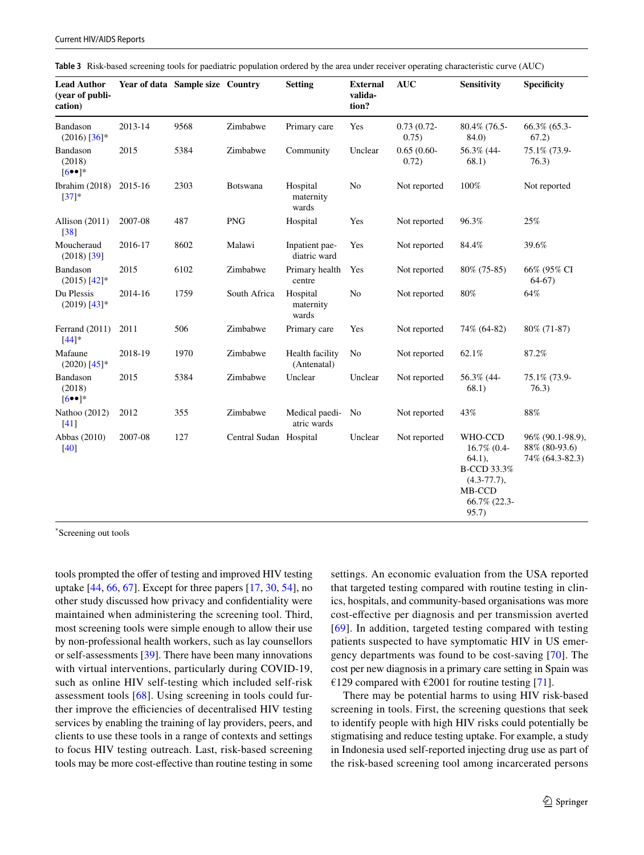| <b>Lead Author</b><br>(year of publi-<br>cation) |         | Year of data Sample size Country |                        | <b>Setting</b>                 | <b>External</b><br>valida-<br>tion? | <b>AUC</b>             | <b>Sensitivity</b>                                                                     | <b>Specificity</b>                                   |
|--------------------------------------------------|---------|----------------------------------|------------------------|--------------------------------|-------------------------------------|------------------------|----------------------------------------------------------------------------------------|------------------------------------------------------|
| Bandason<br>$(2016)$ [36]*                       | 2013-14 | 9568                             | Zimbabwe               | Primary care                   | Yes                                 | $0.73(0.72 -$<br>0.75) | 80.4% (76.5-<br>84.0                                                                   | 66.3% (65.3-<br>67.2)                                |
| Bandason<br>(2018)<br>$[6\bullet\bullet]$ *      | 2015    | 5384                             | Zimbabwe               | Community                      | Unclear                             | $0.65(0.60 -$<br>0.72) | 56.3% (44-<br>68.1)                                                                    | 75.1% (73.9-<br>76.3)                                |
| Ibrahim (2018) 2015-16<br>$[37]*$                |         | 2303                             | Botswana               | Hospital<br>maternity<br>wards | No                                  | Not reported           | 100%                                                                                   | Not reported                                         |
| Allison (2011)<br>[38]                           | 2007-08 | 487                              | <b>PNG</b>             | Hospital                       | Yes                                 | Not reported           | 96.3%                                                                                  | 25%                                                  |
| Moucheraud<br>$(2018)$ [39]                      | 2016-17 | 8602                             | Malawi                 | Inpatient pae-<br>diatric ward | Yes                                 | Not reported           | 84.4%                                                                                  | 39.6%                                                |
| Bandason<br>$(2015)$ [42]*                       | 2015    | 6102                             | Zimbabwe               | Primary health<br>centre       | Yes                                 | Not reported           | 80% (75-85)                                                                            | 66% (95% CI<br>$64-67$                               |
| Du Plessis<br>$(2019)$ [43]*                     | 2014-16 | 1759                             | South Africa           | Hospital<br>maternity<br>wards | No                                  | Not reported           | 80%                                                                                    | 64%                                                  |
| Ferrand (2011)<br>$[44]$ *                       | 2011    | 506                              | Zimbabwe               | Primary care                   | Yes                                 | Not reported           | 74% (64-82)                                                                            | 80% (71-87)                                          |
| Mafaune<br>$(2020)$ [45]*                        | 2018-19 | 1970                             | Zimbabwe               | Health facility<br>(Antenatal) | No                                  | Not reported           | 62.1%                                                                                  | 87.2%                                                |
| Bandason<br>(2018)<br>$[6\bullet\bullet]$ *      | 2015    | 5384                             | Zimbabwe               | Unclear                        | Unclear                             | Not reported           | 56.3% (44-<br>68.1)                                                                    | 75.1% (73.9-<br>76.3)                                |
| Nathoo (2012)<br>$[41]$                          | 2012    | 355                              | Zimbabwe               | Medical paedi-<br>atric wards  | No                                  | Not reported           | 43%                                                                                    | 88%                                                  |
| Abbas (2010)<br>$[40]$                           | 2007-08 | 127                              | Central Sudan Hospital |                                | Unclear                             | Not reported           | WHO-CCD<br>16.7% (0.4-<br>$64.1$ ),<br><b>B-CCD 33.3%</b><br>$(4.3 - 77.7),$<br>MB-CCD | 96% (90.1-98.9),<br>88% (80-93.6)<br>74% (64.3-82.3) |

<span id="page-6-0"></span>**Table 3** Risk-based screening tools for paediatric population ordered by the area under receiver operating characteristic curve (AUC)

\* Screening out tools

tools prompted the offer of testing and improved HIV testing uptake  $[44, 66, 67]$  $[44, 66, 67]$  $[44, 66, 67]$  $[44, 66, 67]$  $[44, 66, 67]$  $[44, 66, 67]$ . Except for three papers  $[17, 30, 54]$  $[17, 30, 54]$  $[17, 30, 54]$  $[17, 30, 54]$  $[17, 30, 54]$  $[17, 30, 54]$ , no other study discussed how privacy and confdentiality were maintained when administering the screening tool. Third, most screening tools were simple enough to allow their use by non-professional health workers, such as lay counsellors or self-assessments [\[39](#page-10-3)]. There have been many innovations with virtual interventions, particularly during COVID-19, such as online HIV self-testing which included self-risk assessment tools [[68](#page-11-5)]. Using screening in tools could further improve the efficiencies of decentralised HIV testing services by enabling the training of lay providers, peers, and clients to use these tools in a range of contexts and settings to focus HIV testing outreach. Last, risk-based screening tools may be more cost-efective than routine testing in some

settings. An economic evaluation from the USA reported that targeted testing compared with routine testing in clinics, hospitals, and community-based organisations was more cost-efective per diagnosis and per transmission averted [[69](#page-11-6)]. In addition, targeted testing compared with testing patients suspected to have symptomatic HIV in US emergency departments was found to be cost-saving [\[70](#page-11-7)]. The cost per new diagnosis in a primary care setting in Spain was €129 compared with €2001 for routine testing [[71\]](#page-11-8).

66.7% (22.3- 95.7)

There may be potential harms to using HIV risk-based screening in tools. First, the screening questions that seek to identify people with high HIV risks could potentially be stigmatising and reduce testing uptake. For example, a study in Indonesia used self-reported injecting drug use as part of the risk-based screening tool among incarcerated persons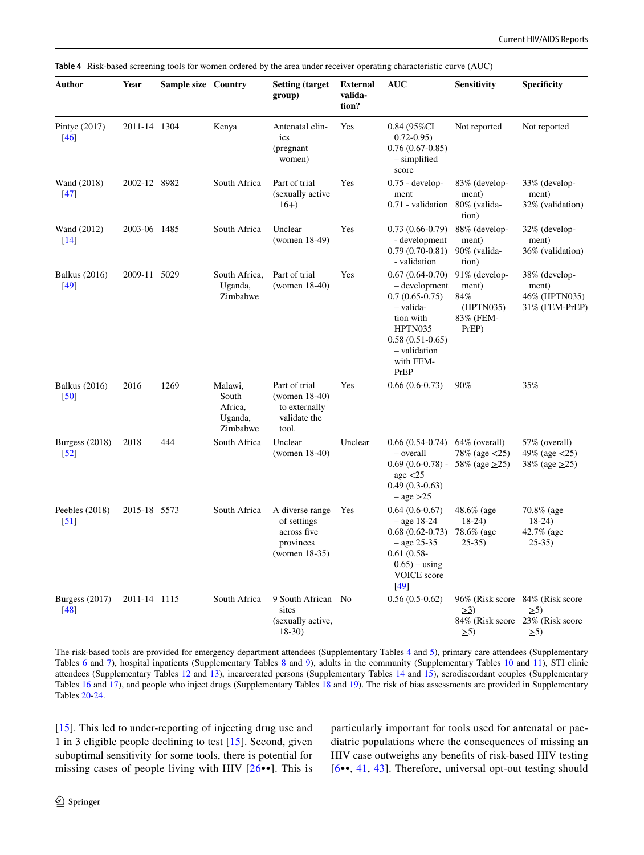<span id="page-7-0"></span>

|  | Table 4 Risk-based screening tools for women ordered by the area under receiver operating characteristic curve (AUC) |  |  |  |
|--|----------------------------------------------------------------------------------------------------------------------|--|--|--|
|--|----------------------------------------------------------------------------------------------------------------------|--|--|--|

| Author                                | Year         | Sample size Country |                                                    | <b>Setting (target)</b><br>group)                                              | <b>External</b><br>valida-<br>tion? | <b>AUC</b>                                                                                                                                           | <b>Sensitivity</b>                                                         | <b>Specificity</b>                                                                         |
|---------------------------------------|--------------|---------------------|----------------------------------------------------|--------------------------------------------------------------------------------|-------------------------------------|------------------------------------------------------------------------------------------------------------------------------------------------------|----------------------------------------------------------------------------|--------------------------------------------------------------------------------------------|
| Pintye $(2017)$<br>$[46]$             | 2011-14 1304 |                     | Kenya                                              | Antenatal clin-<br>ics<br>(pregnant<br>women)                                  | Yes                                 | $0.84$ (95%CI<br>$0.72 - 0.95$<br>$0.76(0.67-0.85)$<br>$-$ simplified<br>score                                                                       | Not reported                                                               | Not reported                                                                               |
| Wand (2018)<br>$[47]$                 | 2002-12 8982 |                     | South Africa                                       | Part of trial<br>(sexually active<br>$16+$                                     | Yes                                 | $0.75$ - develop-<br>ment<br>0.71 - validation                                                                                                       | 83% (develop-<br>ment)<br>80% (valida-<br>tion)                            | 33% (develop-<br>ment)<br>32% (validation)                                                 |
| Wand (2012)<br>$[14]$                 | 2003-06 1485 |                     | South Africa                                       | Unclear<br>(women 18-49)                                                       | Yes                                 | $0.73(0.66-0.79)$<br>- development<br>$0.79(0.70-0.81)$<br>- validation                                                                              | 88% (develop-<br>ment)<br>$90\%$ (valida-<br>tion)                         | 32% (develop-<br>ment)<br>36% (validation)                                                 |
| <b>Balkus</b> (2016)<br>$[49]$        | 2009-11 5029 |                     | South Africa,<br>Uganda,<br>Zimbabwe               | Part of trial<br>(women 18-40)                                                 | Yes                                 | $0.67(0.64-0.70)$<br>– development<br>$0.7(0.65-0.75)$<br>-valida-<br>tion with<br>HPTN035<br>$0.58(0.51-0.65)$<br>– validation<br>with FEM-<br>PrEP | 91% (develop-<br>ment)<br>84%<br>(HPTN035)<br>83% (FEM-<br>$PrEP$ )        | 38% (develop-<br>ment)<br>46% (HPTN035)<br>31% (FEM-PrEP)                                  |
| <b>Balkus</b> (2016)<br>[50]          | 2016         | 1269                | Malawi,<br>South<br>Africa,<br>Uganda,<br>Zimbabwe | Part of trial<br>$(women 18-40)$<br>to externally<br>validate the<br>tool.     | Yes                                 | $0.66(0.6-0.73)$                                                                                                                                     | 90%                                                                        | 35%                                                                                        |
| Burgess $(2018)$<br>$\left[52\right]$ | 2018         | 444                 | South Africa                                       | Unclear<br>$(women 18-40)$                                                     | Unclear                             | $0.66(0.54-0.74)$<br>- overall<br>$0.69(0.6-0.78)$ -<br>age $\langle 25$<br>$0.49(0.3-0.63)$<br>$-$ age $\geq$ 25                                    | 64% (overall)<br>$78\%$ (age $\langle 25 \rangle$ )<br>58% (age $\geq$ 25) | 57% (overall)<br>49% (age $\langle 25 \rangle$<br>38% (age $\geq$ 25)                      |
| Peebles (2018)<br>$[51]$              | 2015-18 5573 |                     | South Africa                                       | A diverse range<br>of settings<br>across five<br>provinces<br>(women $18-35$ ) | Yes                                 | $0.64(0.6-0.67)$<br>$-$ age 18-24<br>$0.68(0.62-0.73)$<br>$-$ age 25-35<br>$0.61(0.58 -$<br>$0.65$ ) – using<br>VOICE score<br>$[49]$                | 48.6% (age<br>$18-24$<br>78.6% (age<br>$25-35$                             | 70.8% (age<br>$18-24)$<br>42.7% (age<br>$25-35$                                            |
| Burgess (2017)<br>$[48]$              | 2011-14 1115 |                     | South Africa                                       | 9 South African No<br>sites<br>(sexually active,<br>$18-30$                    |                                     | $0.56(0.5-0.62)$                                                                                                                                     | $\geq 3$<br>$\geq 5$                                                       | 96% (Risk score 84% (Risk score<br>$\geq 5$<br>84% (Risk score 23% (Risk score<br>$\geq 5$ |

The risk-based tools are provided for emergency department attendees (Supplementary Tables 4 and 5), primary care attendees (Supplementary Tables 6 and 7), hospital inpatients (Supplementary Tables 8 and 9), adults in the community (Supplementary Tables 10 and 11), STI clinic attendees (Supplementary Tables 12 and 13), incarcerated persons (Supplementary Tables 14 and 15), serodiscordant couples (Supplementary Tables 16 and 17), and people who inject drugs (Supplementary Tables 18 and 19). The risk of bias assessments are provided in Supplementary Tables 20-24.

[\[15\]](#page-9-13). This led to under-reporting of injecting drug use and 1 in 3 eligible people declining to test [[15\]](#page-9-13). Second, given suboptimal sensitivity for some tools, there is potential for missing cases of people living with HIV [[26](#page-9-22)••]. This is particularly important for tools used for antenatal or paediatric populations where the consequences of missing an HIV case outweighs any benefts of risk-based HIV testing [[6•](#page-9-4)•, [41](#page-10-5), [43](#page-10-14)]. Therefore, universal opt-out testing should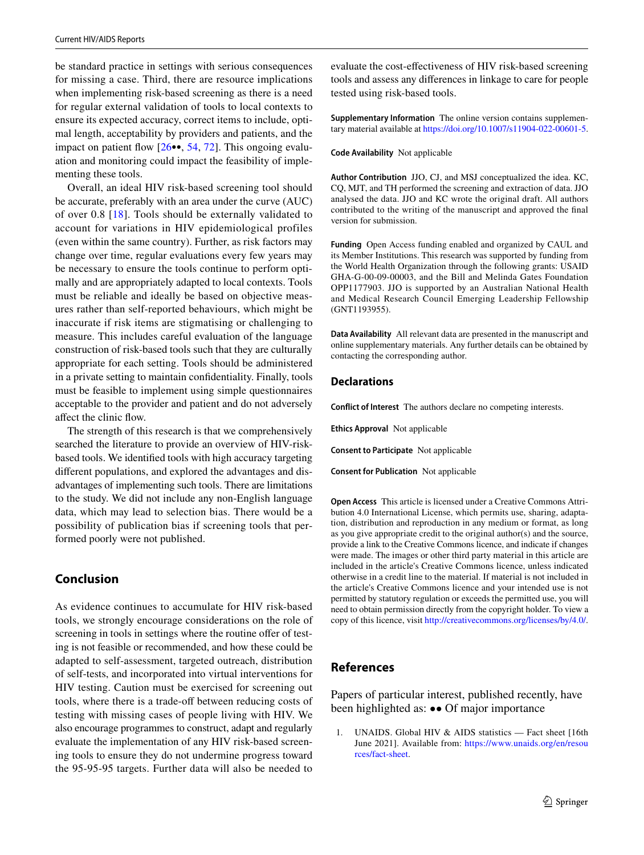be standard practice in settings with serious consequences for missing a case. Third, there are resource implications when implementing risk-based screening as there is a need for regular external validation of tools to local contexts to ensure its expected accuracy, correct items to include, optimal length, acceptability by providers and patients, and the impact on patient flow  $[26\bullet, 54, 72]$  $[26\bullet, 54, 72]$  $[26\bullet, 54, 72]$  $[26\bullet, 54, 72]$ . This ongoing evaluation and monitoring could impact the feasibility of implementing these tools.

Overall, an ideal HIV risk-based screening tool should be accurate, preferably with an area under the curve (AUC) of over 0.8 [[18\]](#page-9-15). Tools should be externally validated to account for variations in HIV epidemiological profiles (even within the same country). Further, as risk factors may change over time, regular evaluations every few years may be necessary to ensure the tools continue to perform optimally and are appropriately adapted to local contexts. Tools must be reliable and ideally be based on objective measures rather than self-reported behaviours, which might be inaccurate if risk items are stigmatising or challenging to measure. This includes careful evaluation of the language construction of risk-based tools such that they are culturally appropriate for each setting. Tools should be administered in a private setting to maintain confdentiality. Finally, tools must be feasible to implement using simple questionnaires acceptable to the provider and patient and do not adversely afect the clinic fow.

The strength of this research is that we comprehensively searched the literature to provide an overview of HIV-riskbased tools. We identifed tools with high accuracy targeting diferent populations, and explored the advantages and disadvantages of implementing such tools. There are limitations to the study. We did not include any non-English language data, which may lead to selection bias. There would be a possibility of publication bias if screening tools that performed poorly were not published.

# **Conclusion**

As evidence continues to accumulate for HIV risk-based tools, we strongly encourage considerations on the role of screening in tools in settings where the routine offer of testing is not feasible or recommended, and how these could be adapted to self-assessment, targeted outreach, distribution of self-tests, and incorporated into virtual interventions for HIV testing. Caution must be exercised for screening out tools, where there is a trade-off between reducing costs of testing with missing cases of people living with HIV. We also encourage programmes to construct, adapt and regularly evaluate the implementation of any HIV risk-based screening tools to ensure they do not undermine progress toward the 95-95-95 targets. Further data will also be needed to

evaluate the cost-efectiveness of HIV risk-based screening tools and assess any diferences in linkage to care for people tested using risk-based tools.

**Supplementary Information** The online version contains supplementary material available at<https://doi.org/10.1007/s11904-022-00601-5>.

#### **Code Availability** Not applicable

**Author Contribution** JJO, CJ, and MSJ conceptualized the idea. KC, CQ, MJT, and TH performed the screening and extraction of data. JJO analysed the data. JJO and KC wrote the original draft. All authors contributed to the writing of the manuscript and approved the fnal version for submission.

**Funding** Open Access funding enabled and organized by CAUL and its Member Institutions. This research was supported by funding from the World Health Organization through the following grants: USAID GHA-G-00-09-00003, and the Bill and Melinda Gates Foundation OPP1177903. JJO is supported by an Australian National Health and Medical Research Council Emerging Leadership Fellowship (GNT1193955).

**Data Availability** All relevant data are presented in the manuscript and online supplementary materials. Any further details can be obtained by contacting the corresponding author.

# **Declarations**

**Conflict of Interest** The authors declare no competing interests.

**Ethics Approval** Not applicable

**Consent to Participate** Not applicable

**Consent for Publication** Not applicable

**Open Access** This article is licensed under a Creative Commons Attribution 4.0 International License, which permits use, sharing, adaptation, distribution and reproduction in any medium or format, as long as you give appropriate credit to the original author(s) and the source, provide a link to the Creative Commons licence, and indicate if changes were made. The images or other third party material in this article are included in the article's Creative Commons licence, unless indicated otherwise in a credit line to the material. If material is not included in the article's Creative Commons licence and your intended use is not permitted by statutory regulation or exceeds the permitted use, you will need to obtain permission directly from the copyright holder. To view a copy of this licence, visit<http://creativecommons.org/licenses/by/4.0/>.

# **References**

Papers of particular interest, published recently, have been highlighted as: •• Of major importance

<span id="page-8-0"></span>1. UNAIDS. Global HIV & AIDS statistics — Fact sheet [16th June 2021]. Available from: [https://www.unaids.org/en/resou](https://www.unaids.org/en/resources/fact-sheet) [rces/fact-sheet.](https://www.unaids.org/en/resources/fact-sheet)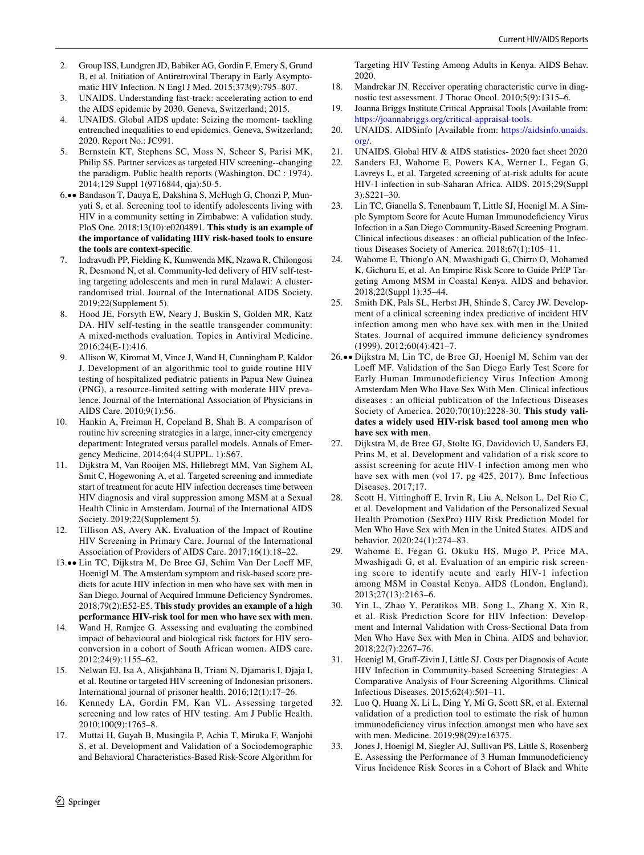- <span id="page-9-0"></span>2. Group ISS, Lundgren JD, Babiker AG, Gordin F, Emery S, Grund B, et al. Initiation of Antiretroviral Therapy in Early Asymptomatic HIV Infection. N Engl J Med. 2015;373(9):795–807.
- <span id="page-9-1"></span>3. UNAIDS. Understanding fast-track: accelerating action to end the AIDS epidemic by 2030. Geneva, Switzerland; 2015.
- <span id="page-9-2"></span>4. UNAIDS. Global AIDS update: Seizing the moment- tackling entrenched inequalities to end epidemics. Geneva, Switzerland; 2020. Report No.: JC991.
- <span id="page-9-3"></span>5. Bernstein KT, Stephens SC, Moss N, Scheer S, Parisi MK, Philip SS. Partner services as targeted HIV screening--changing the paradigm. Public health reports (Washington, DC : 1974). 2014;129 Suppl 1(9716844, qja):50-5.
- <span id="page-9-4"></span>6.•• Bandason T, Dauya E, Dakshina S, McHugh G, Chonzi P, Munyati S, et al. Screening tool to identify adolescents living with HIV in a community setting in Zimbabwe: A validation study. PloS One. 2018;13(10):e0204891. **This study is an example of the importance of validating HIV risk-based tools to ensure the tools are context-specifc**.
- <span id="page-9-5"></span>7. Indravudh PP, Fielding K, Kumwenda MK, Nzawa R, Chilongosi R, Desmond N, et al. Community-led delivery of HIV self-testing targeting adolescents and men in rural Malawi: A clusterrandomised trial. Journal of the International AIDS Society. 2019;22(Supplement 5).
- <span id="page-9-6"></span>8. Hood JE, Forsyth EW, Neary J, Buskin S, Golden MR, Katz DA. HIV self-testing in the seattle transgender community: A mixed-methods evaluation. Topics in Antiviral Medicine. 2016;24(E-1):416.
- <span id="page-9-7"></span>9. Allison W, Kiromat M, Vince J, Wand H, Cunningham P, Kaldor J. Development of an algorithmic tool to guide routine HIV testing of hospitalized pediatric patients in Papua New Guinea (PNG), a resource-limited setting with moderate HIV prevalence. Journal of the International Association of Physicians in AIDS Care. 2010;9(1):56.
- <span id="page-9-8"></span>10. Hankin A, Freiman H, Copeland B, Shah B. A comparison of routine hiv screening strategies in a large, inner-city emergency department: Integrated versus parallel models. Annals of Emergency Medicine. 2014;64(4 SUPPL. 1):S67.
- <span id="page-9-9"></span>11. Dijkstra M, Van Rooijen MS, Hillebregt MM, Van Sighem AI, Smit C, Hogewoning A, et al. Targeted screening and immediate start of treatment for acute HIV infection decreases time between HIV diagnosis and viral suppression among MSM at a Sexual Health Clinic in Amsterdam. Journal of the International AIDS Society. 2019;22(Supplement 5).
- <span id="page-9-10"></span>12. Tillison AS, Avery AK. Evaluation of the Impact of Routine HIV Screening in Primary Care. Journal of the International Association of Providers of AIDS Care. 2017;16(1):18–22.
- <span id="page-9-11"></span>13.•• Lin TC, Dijkstra M, De Bree GJ, Schim Van Der Loeff MF, Hoenigl M. The Amsterdam symptom and risk-based score predicts for acute HIV infection in men who have sex with men in San Diego. Journal of Acquired Immune Defciency Syndromes. 2018;79(2):E52-E5. **This study provides an example of a high performance HIV-risk tool for men who have sex with men**.
- <span id="page-9-12"></span>14. Wand H, Ramjee G. Assessing and evaluating the combined impact of behavioural and biological risk factors for HIV seroconversion in a cohort of South African women. AIDS care. 2012;24(9):1155–62.
- <span id="page-9-13"></span>15. Nelwan EJ, Isa A, Alisjahbana B, Triani N, Djamaris I, Djaja I, et al. Routine or targeted HIV screening of Indonesian prisoners. International journal of prisoner health. 2016;12(1):17–26.
- <span id="page-9-23"></span>16. Kennedy LA, Gordin FM, Kan VL. Assessing targeted screening and low rates of HIV testing. Am J Public Health. 2010;100(9):1765–8.
- <span id="page-9-14"></span>17. Muttai H, Guyah B, Musingila P, Achia T, Miruka F, Wanjohi S, et al. Development and Validation of a Sociodemographic and Behavioral Characteristics-Based Risk-Score Algorithm for

Targeting HIV Testing Among Adults in Kenya. AIDS Behav. 2020.

- <span id="page-9-15"></span>18. Mandrekar JN. Receiver operating characteristic curve in diagnostic test assessment. J Thorac Oncol. 2010;5(9):1315–6.
- <span id="page-9-16"></span>19. Joanna Briggs Institute Critical Appraisal Tools [Available from: <https://joannabriggs.org/critical-appraisal-tools>.
- <span id="page-9-17"></span>20. UNAIDS. AIDSinfo [Available from: [https://aidsinfo.unaids.](https://aidsinfo.unaids.org/) [org/.](https://aidsinfo.unaids.org/)
- <span id="page-9-24"></span>21. UNAIDS. Global HIV & AIDS statistics- 2020 fact sheet 2020
- <span id="page-9-18"></span>22. Sanders EJ, Wahome E, Powers KA, Werner L, Fegan G, Lavreys L, et al. Targeted screening of at-risk adults for acute HIV-1 infection in sub-Saharan Africa. AIDS. 2015;29(Suppl 3):S221–30.
- <span id="page-9-19"></span>23. Lin TC, Gianella S, Tenenbaum T, Little SJ, Hoenigl M. A Simple Symptom Score for Acute Human Immunodefciency Virus Infection in a San Diego Community-Based Screening Program. Clinical infectious diseases : an official publication of the Infectious Diseases Society of America. 2018;67(1):105–11.
- <span id="page-9-20"></span>24. Wahome E, Thiong'o AN, Mwashigadi G, Chirro O, Mohamed K, Gichuru E, et al. An Empiric Risk Score to Guide PrEP Targeting Among MSM in Coastal Kenya. AIDS and behavior. 2018;22(Suppl 1):35–44.
- <span id="page-9-21"></span>25. Smith DK, Pals SL, Herbst JH, Shinde S, Carey JW. Development of a clinical screening index predictive of incident HIV infection among men who have sex with men in the United States. Journal of acquired immune deficiency syndromes (1999). 2012;60(4):421–7.
- <span id="page-9-22"></span>26.•• Dijkstra M, Lin TC, de Bree GJ, Hoenigl M, Schim van der Loeff MF. Validation of the San Diego Early Test Score for Early Human Immunodeficiency Virus Infection Among Amsterdam Men Who Have Sex With Men. Clinical infectious diseases : an official publication of the Infectious Diseases Society of America. 2020;70(10):2228-30. **This study validates a widely used HIV-risk based tool among men who have sex with men**.
- <span id="page-9-26"></span>27. Dijkstra M, de Bree GJ, Stolte IG, Davidovich U, Sanders EJ, Prins M, et al. Development and validation of a risk score to assist screening for acute HIV-1 infection among men who have sex with men (vol 17, pg 425, 2017). Bmc Infectious Diseases. 2017;17.
- <span id="page-9-25"></span>28. Scott H, Vittinghoff E, Irvin R, Liu A, Nelson L, Del Rio C, et al. Development and Validation of the Personalized Sexual Health Promotion (SexPro) HIV Risk Prediction Model for Men Who Have Sex with Men in the United States. AIDS and behavior. 2020;24(1):274–83.
- <span id="page-9-27"></span>29. Wahome E, Fegan G, Okuku HS, Mugo P, Price MA, Mwashigadi G, et al. Evaluation of an empiric risk screening score to identify acute and early HIV-1 infection among MSM in Coastal Kenya. AIDS (London, England). 2013;27(13):2163–6.
- <span id="page-9-28"></span>30. Yin L, Zhao Y, Peratikos MB, Song L, Zhang X, Xin R, et al. Risk Prediction Score for HIV Infection: Development and Internal Validation with Cross-Sectional Data from Men Who Have Sex with Men in China. AIDS and behavior. 2018;22(7):2267–76.
- <span id="page-9-29"></span>31. Hoenigl M, Graf-Zivin J, Little SJ. Costs per Diagnosis of Acute HIV Infection in Community-based Screening Strategies: A Comparative Analysis of Four Screening Algorithms. Clinical Infectious Diseases. 2015;62(4):501–11.
- <span id="page-9-30"></span>32. Luo Q, Huang X, Li L, Ding Y, Mi G, Scott SR, et al. External validation of a prediction tool to estimate the risk of human immunodeficiency virus infection amongst men who have sex with men. Medicine. 2019;98(29):e16375.
- <span id="page-9-31"></span>33. Jones J, Hoenigl M, Siegler AJ, Sullivan PS, Little S, Rosenberg E. Assessing the Performance of 3 Human Immunodefciency Virus Incidence Risk Scores in a Cohort of Black and White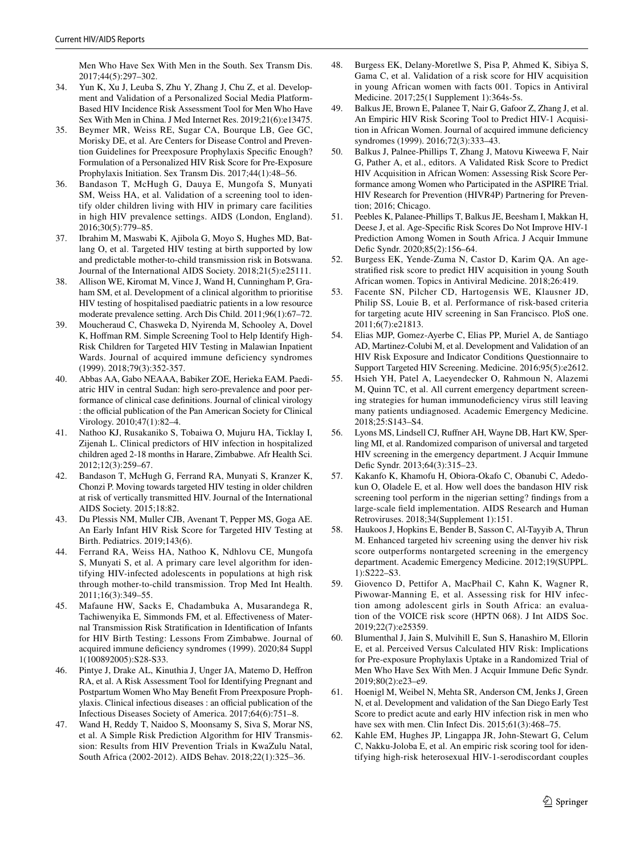Men Who Have Sex With Men in the South. Sex Transm Dis. 2017;44(5):297–302.

- <span id="page-10-22"></span>34. Yun K, Xu J, Leuba S, Zhu Y, Zhang J, Chu Z, et al. Development and Validation of a Personalized Social Media Platform-Based HIV Incidence Risk Assessment Tool for Men Who Have Sex With Men in China. J Med Internet Res. 2019;21(6):e13475.
- <span id="page-10-23"></span>35. Beymer MR, Weiss RE, Sugar CA, Bourque LB, Gee GC, Morisky DE, et al. Are Centers for Disease Control and Prevention Guidelines for Preexposure Prophylaxis Specifc Enough? Formulation of a Personalized HIV Risk Score for Pre-Exposure Prophylaxis Initiation. Sex Transm Dis. 2017;44(1):48–56.
- <span id="page-10-0"></span>36. Bandason T, McHugh G, Dauya E, Mungofa S, Munyati SM, Weiss HA, et al. Validation of a screening tool to identify older children living with HIV in primary care facilities in high HIV prevalence settings. AIDS (London, England). 2016;30(5):779–85.
- <span id="page-10-1"></span>37. Ibrahim M, Maswabi K, Ajibola G, Moyo S, Hughes MD, Batlang O, et al. Targeted HIV testing at birth supported by low and predictable mother-to-child transmission risk in Botswana. Journal of the International AIDS Society. 2018;21(5):e25111.
- <span id="page-10-2"></span>38. Allison WE, Kiromat M, Vince J, Wand H, Cunningham P, Graham SM, et al. Development of a clinical algorithm to prioritise HIV testing of hospitalised paediatric patients in a low resource moderate prevalence setting. Arch Dis Child. 2011;96(1):67–72.
- <span id="page-10-3"></span>39. Moucheraud C, Chasweka D, Nyirenda M, Schooley A, Dovel K, Hofman RM. Simple Screening Tool to Help Identify High-Risk Children for Targeted HIV Testing in Malawian Inpatient Wards. Journal of acquired immune deficiency syndromes (1999). 2018;79(3):352-357.
- <span id="page-10-4"></span>40. Abbas AA, Gabo NEAAA, Babiker ZOE, Herieka EAM. Paediatric HIV in central Sudan: high sero-prevalence and poor performance of clinical case defnitions. Journal of clinical virology : the official publication of the Pan American Society for Clinical Virology. 2010;47(1):82–4.
- <span id="page-10-5"></span>41. Nathoo KJ, Rusakaniko S, Tobaiwa O, Mujuru HA, Ticklay I, Zijenah L. Clinical predictors of HIV infection in hospitalized children aged 2-18 months in Harare, Zimbabwe. Afr Health Sci. 2012;12(3):259–67.
- <span id="page-10-25"></span>42. Bandason T, McHugh G, Ferrand RA, Munyati S, Kranzer K, Chonzi P. Moving towards targeted HIV testing in older children at risk of vertically transmitted HIV. Journal of the International AIDS Society. 2015;18:82.
- <span id="page-10-14"></span>43. Du Plessis NM, Muller CJB, Avenant T, Pepper MS, Goga AE. An Early Infant HIV Risk Score for Targeted HIV Testing at Birth. Pediatrics. 2019;143(6).
- <span id="page-10-24"></span>44. Ferrand RA, Weiss HA, Nathoo K, Ndhlovu CE, Mungofa S, Munyati S, et al. A primary care level algorithm for identifying HIV-infected adolescents in populations at high risk through mother-to-child transmission. Trop Med Int Health. 2011;16(3):349–55.
- <span id="page-10-15"></span>45. Mafaune HW, Sacks E, Chadambuka A, Musarandega R, Tachiwenyika E, Simmonds FM, et al. Efectiveness of Maternal Transmission Risk Stratifcation in Identifcation of Infants for HIV Birth Testing: Lessons From Zimbabwe. Journal of acquired immune defciency syndromes (1999). 2020;84 Suppl 1(100892005):S28-S33.
- <span id="page-10-6"></span>46. Pintye J, Drake AL, Kinuthia J, Unger JA, Matemo D, Hefron RA, et al. A Risk Assessment Tool for Identifying Pregnant and Postpartum Women Who May Beneft From Preexposure Prophylaxis. Clinical infectious diseases : an official publication of the Infectious Diseases Society of America. 2017;64(6):751–8.
- <span id="page-10-7"></span>47. Wand H, Reddy T, Naidoo S, Moonsamy S, Siva S, Morar NS, et al. A Simple Risk Prediction Algorithm for HIV Transmission: Results from HIV Prevention Trials in KwaZulu Natal, South Africa (2002-2012). AIDS Behav. 2018;22(1):325–36.
- <span id="page-10-8"></span>48. Burgess EK, Delany-Moretlwe S, Pisa P, Ahmed K, Sibiya S, Gama C, et al. Validation of a risk score for HIV acquisition in young African women with facts 001. Topics in Antiviral Medicine. 2017;25(1 Supplement 1):364s-5s.
- <span id="page-10-9"></span>49. Balkus JE, Brown E, Palanee T, Nair G, Gafoor Z, Zhang J, et al. An Empiric HIV Risk Scoring Tool to Predict HIV-1 Acquisition in African Women. Journal of acquired immune defciency syndromes (1999). 2016;72(3):333–43.
- <span id="page-10-10"></span>50. Balkus J, Palnee-Phillips T, Zhang J, Matovu Kiweewa F, Nair G, Pather A, et al., editors. A Validated Risk Score to Predict HIV Acquisition in African Women: Assessing Risk Score Performance among Women who Participated in the ASPIRE Trial. HIV Research for Prevention (HIVR4P) Partnering for Prevention; 2016; Chicago.
- <span id="page-10-11"></span>51. Peebles K, Palanee-Phillips T, Balkus JE, Beesham I, Makkan H, Deese J, et al. Age-Specifc Risk Scores Do Not Improve HIV-1 Prediction Among Women in South Africa. J Acquir Immune Defic Syndr. 2020;85(2):156-64.
- <span id="page-10-26"></span>52. Burgess EK, Yende-Zuma N, Castor D, Karim QA. An agestratifed risk score to predict HIV acquisition in young South African women. Topics in Antiviral Medicine. 2018;26:419.
- <span id="page-10-12"></span>53. Facente SN, Pilcher CD, Hartogensis WE, Klausner JD, Philip SS, Louie B, et al. Performance of risk-based criteria for targeting acute HIV screening in San Francisco. PloS one. 2011;6(7):e21813.
- <span id="page-10-13"></span>54. Elias MJP, Gomez-Ayerbe C, Elias PP, Muriel A, de Santiago AD, Martinez-Colubi M, et al. Development and Validation of an HIV Risk Exposure and Indicator Conditions Questionnaire to Support Targeted HIV Screening. Medicine. 2016;95(5):e2612.
- <span id="page-10-16"></span>55. Hsieh YH, Patel A, Laeyendecker O, Rahmoun N, Alazemi M, Quinn TC, et al. All current emergency department screening strategies for human immunodefciency virus still leaving many patients undiagnosed. Academic Emergency Medicine. 2018;25:S143–S4.
- <span id="page-10-17"></span>56. Lyons MS, Lindsell CJ, Rufner AH, Wayne DB, Hart KW, Sperling MI, et al. Randomized comparison of universal and targeted HIV screening in the emergency department. J Acquir Immune Defc Syndr. 2013;64(3):315–23.
- <span id="page-10-18"></span>57. Kakanfo K, Khamofu H, Obiora-Okafo C, Obanubi C, Adedokun O, Oladele E, et al. How well does the bandason HIV risk screening tool perform in the nigerian setting? fndings from a large-scale feld implementation. AIDS Research and Human Retroviruses. 2018;34(Supplement 1):151.
- <span id="page-10-19"></span>58. Haukoos J, Hopkins E, Bender B, Sasson C, Al-Tayyib A, Thrun M. Enhanced targeted hiv screening using the denver hiv risk score outperforms nontargeted screening in the emergency department. Academic Emergency Medicine. 2012;19(SUPPL. 1):S222–S3.
- <span id="page-10-20"></span>59. Giovenco D, Pettifor A, MacPhail C, Kahn K, Wagner R, Piwowar-Manning E, et al. Assessing risk for HIV infection among adolescent girls in South Africa: an evaluation of the VOICE risk score (HPTN 068). J Int AIDS Soc. 2019;22(7):e25359.
- 60. Blumenthal J, Jain S, Mulvihill E, Sun S, Hanashiro M, Ellorin E, et al. Perceived Versus Calculated HIV Risk: Implications for Pre-exposure Prophylaxis Uptake in a Randomized Trial of Men Who Have Sex With Men. J Acquir Immune Defc Syndr. 2019;80(2):e23–e9.
- 61. Hoenigl M, Weibel N, Mehta SR, Anderson CM, Jenks J, Green N, et al. Development and validation of the San Diego Early Test Score to predict acute and early HIV infection risk in men who have sex with men. Clin Infect Dis. 2015;61(3):468-75.
- <span id="page-10-21"></span>62. Kahle EM, Hughes JP, Lingappa JR, John-Stewart G, Celum C, Nakku-Joloba E, et al. An empiric risk scoring tool for identifying high-risk heterosexual HIV-1-serodiscordant couples